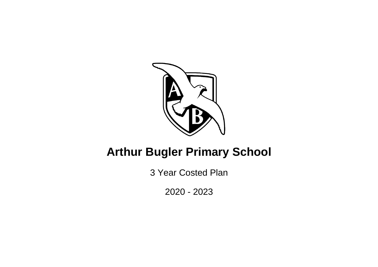

# **Arthur Bugler Primary School**

3 Year Costed Plan

2020 - 2023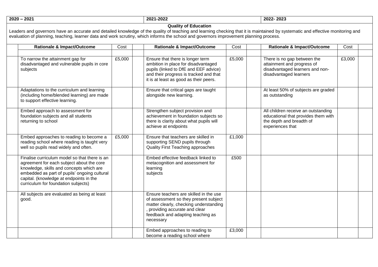**2020 – 2021 2021-2022 2022- 2023**

#### **Quality of Education**

Leaders and governors have an accurate and detailed knowledge of the quality of teaching and learning checking that it is maintained by systematic and effective monitoring and evaluation of planning, teaching, learner data and work scrutiny, which informs the school and governors improvement planning process.

| <b>Rationale &amp; Impact/Outcome</b>                                                                                                                                                                                                                                    | Cost   | <b>Rationale &amp; Impact/Outcome</b>                                                                                                                                                                       | Cost   | <b>Rationale &amp; Impact/Outcome</b>                                                                                      | Cost   |  |
|--------------------------------------------------------------------------------------------------------------------------------------------------------------------------------------------------------------------------------------------------------------------------|--------|-------------------------------------------------------------------------------------------------------------------------------------------------------------------------------------------------------------|--------|----------------------------------------------------------------------------------------------------------------------------|--------|--|
|                                                                                                                                                                                                                                                                          |        |                                                                                                                                                                                                             |        |                                                                                                                            |        |  |
| To narrow the attainment gap for<br>disadvantaged and vulnerable pupils in core<br>subjects                                                                                                                                                                              | £5,000 | Ensure that there is longer term<br>ambition in place for disadvantaged<br>pupils (linked to DfE and EEF advice)<br>and their progress is tracked and that<br>it is at least as good as their peers.        | £5,000 | There is no gap between the<br>attainment and progress of<br>disadvantaged learners and non-<br>disadvantaged learners     | £3,000 |  |
| Adaptations to the curriculum and learning<br>(including home/blended learning) are made<br>to support effective learning.                                                                                                                                               |        | Ensure that critical gaps are taught<br>alongside new learning.                                                                                                                                             |        | At least 50% of subjects are graded<br>as outstanding                                                                      |        |  |
| Embed approach to assessment for<br>foundation subjects and all students<br>returning to school                                                                                                                                                                          |        | Strengthen subject provision and<br>achievement in foundation subjects so<br>there is clarity about what pupils will<br>achieve at endpoints                                                                |        | All children receive an outstanding<br>educational that provides them with<br>the depth and breadth of<br>experiences that |        |  |
| Embed approaches to reading to become a<br>reading school where reading is taught very<br>well so pupils read widely and often.                                                                                                                                          | £5,000 | Ensure that teachers are skilled in<br>supporting SEND pupils through<br>Quality First Teaching approaches                                                                                                  | £1,000 |                                                                                                                            |        |  |
| Finalise curriculum model so that there is an<br>agreement for each subject about the core<br>knowledge, skills and concepts which are<br>embedded as part of pupils' ongoing cultural<br>capital. (knowledge at endpoints in the<br>curriculum for foundation subjects) |        | Embed effective feedback linked to<br>metacognition and assessment for<br>learning<br>subjects                                                                                                              | £500   |                                                                                                                            |        |  |
| All subjects are evaluated as being at least<br>good.                                                                                                                                                                                                                    |        | Ensure teachers are skilled in the use<br>of assessment so they present subject<br>matter clearly, checking understanding<br>providing accurate and clear<br>feedback and adapting teaching as<br>necessary |        |                                                                                                                            |        |  |
|                                                                                                                                                                                                                                                                          |        | Embed approaches to reading to<br>become a reading school where                                                                                                                                             | £3,000 |                                                                                                                            |        |  |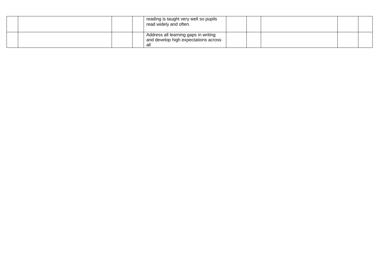|  | reading is taught very well so pupils<br>read widely and often.                    |  |  |  |
|--|------------------------------------------------------------------------------------|--|--|--|
|  | Address all learning gaps in writing<br>and develop high expectations across<br>al |  |  |  |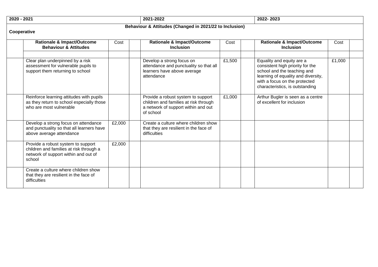| 2020 - 2021 | 2021-2022 | 2022-2023 |
|-------------|-----------|-----------|
|             |           |           |

## **Behaviour & Attitudes (Changed in 2021/22 to Inclusion)**

### **Cooperative**

| <b>Rationale &amp; Impact/Outcome</b><br><b>Behaviour &amp; Attitudes</b>                                                       | Cost   | <b>Rationale &amp; Impact/Outcome</b><br><b>Inclusion</b>                                                                       | Cost   | <b>Rationale &amp; Impact/Outcome</b><br><b>Inclusion</b>                                                                                                                                               | Cost   |  |
|---------------------------------------------------------------------------------------------------------------------------------|--------|---------------------------------------------------------------------------------------------------------------------------------|--------|---------------------------------------------------------------------------------------------------------------------------------------------------------------------------------------------------------|--------|--|
|                                                                                                                                 |        |                                                                                                                                 |        |                                                                                                                                                                                                         |        |  |
| Clear plan underpinned by a risk<br>assessment for vulnerable pupils to<br>support them returning to school                     |        | Develop a strong focus on<br>attendance and punctuality so that all<br>learners have above average<br>attendance                | £1,500 | Equality and equity are a<br>consistent high priority for the<br>school and the teaching and<br>learning of equality and diversity,<br>with a focus on the protected<br>characteristics, is outstanding | £1,000 |  |
| Reinforce learning attitudes with pupils<br>as they return to school especially those<br>who are most vulnerable                |        | Provide a robust system to support<br>children and families at risk through<br>a network of support within and out<br>of school | £1,000 | Arthur Bugler is seen as a centre<br>of excellent for inclusion                                                                                                                                         |        |  |
| Develop a strong focus on attendance<br>and punctuality so that all learners have<br>above average attendance                   | £2,000 | Create a culture where children show<br>that they are resilient in the face of<br>difficulties                                  |        |                                                                                                                                                                                                         |        |  |
| Provide a robust system to support<br>children and families at risk through a<br>network of support within and out of<br>school | £2,000 |                                                                                                                                 |        |                                                                                                                                                                                                         |        |  |
| Create a culture where children show<br>that they are resilient in the face of<br>difficulties                                  |        |                                                                                                                                 |        |                                                                                                                                                                                                         |        |  |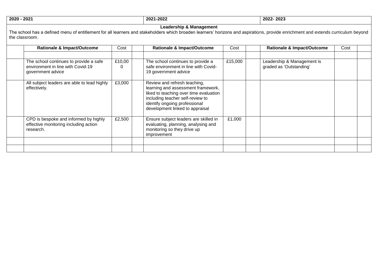**2020 - 2021 2021-2022 2022- 2023**

#### **Leadership & Management**

The school has a defined menu of entitlement for all learners and stakeholders which broaden learners' horizons and aspirations, provide enrichment and extends curriculum beyond the classroom.

| <b>Rationale &amp; Impact/Outcome</b>                                                            | Cost        | <b>Rationale &amp; Impact/Outcome</b>                                                                                                                                                                                | Cost    | <b>Rationale &amp; Impact/Outcome</b>                 | Cost |  |
|--------------------------------------------------------------------------------------------------|-------------|----------------------------------------------------------------------------------------------------------------------------------------------------------------------------------------------------------------------|---------|-------------------------------------------------------|------|--|
| The school continues to provide a safe<br>environment in line with Covid-19<br>government advice | £10,00<br>0 | The school continues to provide a<br>safe environment in line with Covid-<br>19 government advice                                                                                                                    | £15,000 | Leadership & Management is<br>graded as 'Outstanding' |      |  |
| All subject leaders are able to lead highly<br>effectively.                                      | £3,000      | Review and refresh teaching,<br>learning and assessment framework,<br>liked to teaching over time evaluation<br>including teacher self-review to<br>identify ongoing professional<br>development linked to appraisal |         |                                                       |      |  |
| CPD is bespoke and informed by highly<br>effective monitoring including action<br>research.      | £2,500      | Ensure subject leaders are skilled in<br>evaluating, planning, analysing and<br>monitoring so they drive up<br>improvement                                                                                           | £1,000  |                                                       |      |  |
|                                                                                                  |             |                                                                                                                                                                                                                      |         |                                                       |      |  |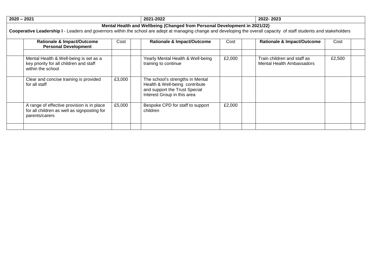| $2020 - 2021$ |                                                                                                             |        | 2021-2022                                                                                                                                                                                                                                            |        | 2022-2023                                                       |        |  |
|---------------|-------------------------------------------------------------------------------------------------------------|--------|------------------------------------------------------------------------------------------------------------------------------------------------------------------------------------------------------------------------------------------------------|--------|-----------------------------------------------------------------|--------|--|
|               |                                                                                                             |        | Mental Health and Wellbeing (Changed from Personal Development in 2021/22)<br>Cooperative Leadership I - Leaders and governors within the school are adept at managing change and developing the overall capacity of staff students and stakeholders |        |                                                                 |        |  |
|               | <b>Rationale &amp; Impact/Outcome</b><br><b>Personal Development</b>                                        | Cost   | <b>Rationale &amp; Impact/Outcome</b>                                                                                                                                                                                                                | Cost   | <b>Rationale &amp; Impact/Outcome</b>                           | Cost   |  |
|               | Mental Health & Well-being is set as a<br>key priority for all children and staff<br>within the school      |        | Yearly Mental Health & Well-being<br>training to continue                                                                                                                                                                                            | £2,000 | Train children and staff as<br><b>Mental Health Ambassadors</b> | £2,500 |  |
|               | Clear and concise training is provided<br>for all staff                                                     | £3,000 | The school's strengths in Mental<br>Health & Well-being contribute<br>and support the Trust Special<br>Interest Group in this area                                                                                                                   |        |                                                                 |        |  |
|               | A range of effective provision is in place<br>for all children as well as signposting for<br>parents/carers | £5,000 | Bespoke CPD for staff to support<br>children                                                                                                                                                                                                         | £2,000 |                                                                 |        |  |
|               |                                                                                                             |        |                                                                                                                                                                                                                                                      |        |                                                                 |        |  |